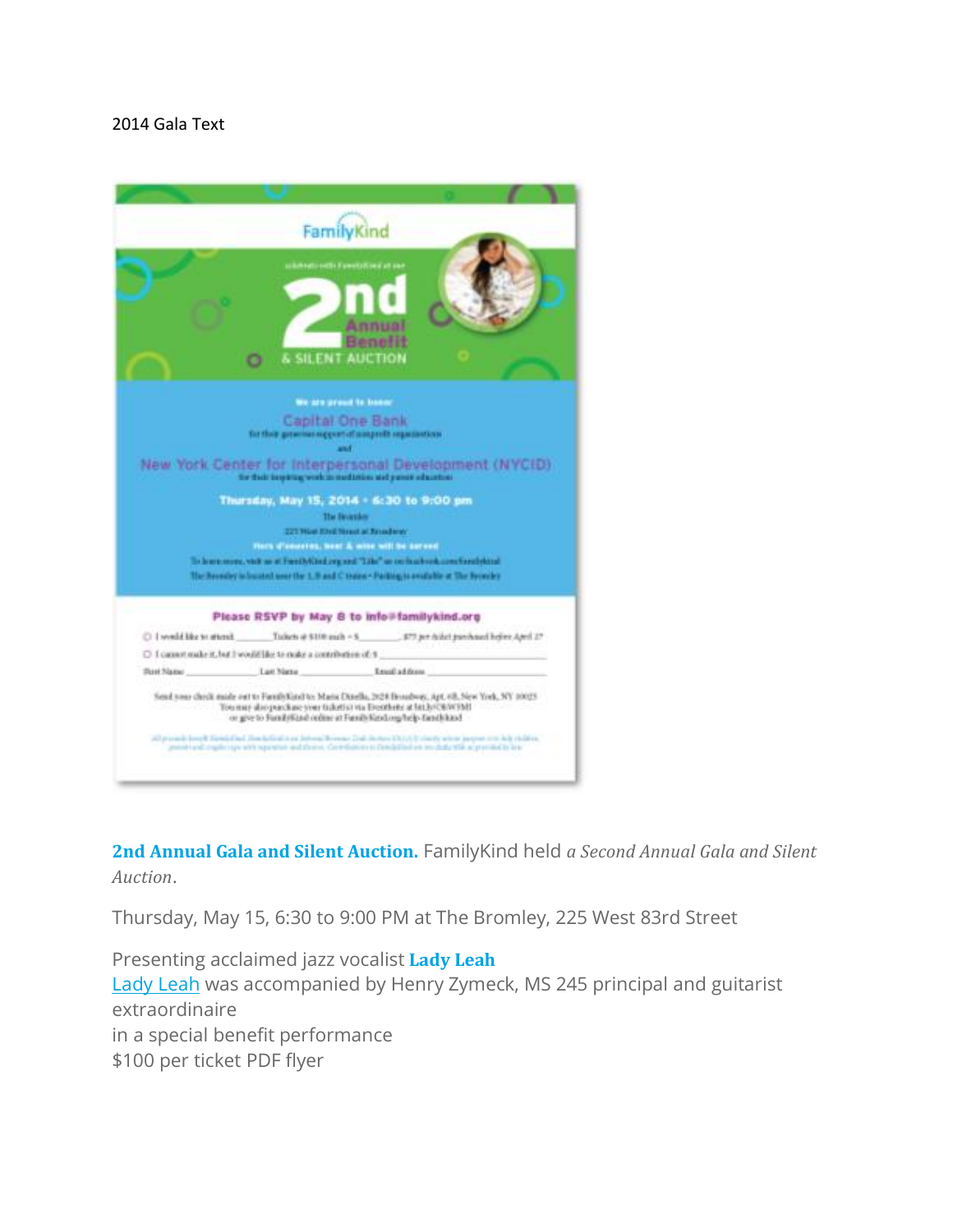## 2014 Gala Text



**2nd Annual Gala and Silent Auction.** FamilyKind held *a Second Annual Gala and Silent Auction*.

Thursday, May 15, 6:30 to 9:00 PM at The Bromley, 225 West 83rd Street

Presenting acclaimed jazz vocalist **Lady Leah** Lady [Leah](http://www.ladyleah.net/) was accompanied by Henry Zymeck, MS 245 principal and guitarist extraordinaire in a special benefit performance \$100 per ticket PDF flyer